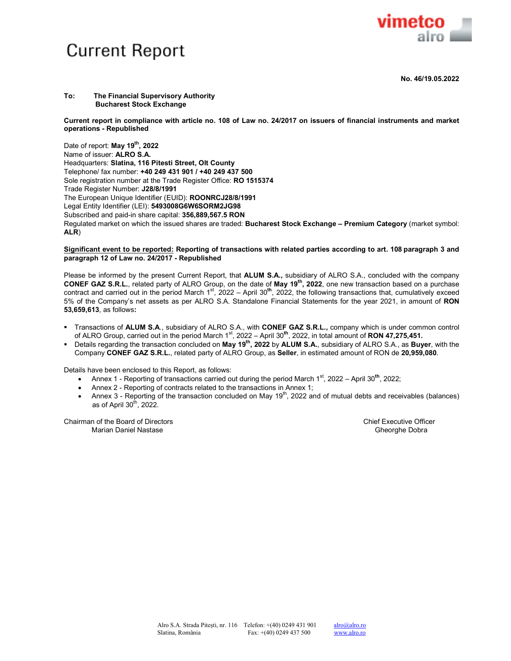

**No. 46/19.05.2022** 

## **To: The Financial Supervisory Authority Bucharest Stock Exchange**

**Current report in compliance with article no. 108 of Law no. 24/2017 on issuers of financial instruments and market operations - Republished** 

Date of report: **May 19th, 2022**  Name of issuer: **ALRO S.A.** Headquarters: **Slatina, 116 Pitesti Street, Olt County** Telephone/ fax number: **+40 249 431 901 / +40 249 437 500** Sole registration number at the Trade Register Office: **RO 1515374** Trade Register Number: **J28/8/1991** The European Unique Identifier (EUID): **ROONRCJ28/8/1991**  Legal Entity Identifier (LEI): **5493008G6W6SORM2JG98** Subscribed and paid-in share capital: **356,889,567.5 RON** Regulated market on which the issued shares are traded: **Bucharest Stock Exchange – Premium Category** (market symbol: **ALR**)

## **Significant event to be reported: Reporting of transactions with related parties according to art. 108 paragraph 3 and paragraph 12 of Law no. 24/2017 - Republished**

Please be informed by the present Current Report, that **ALUM S.A.,** subsidiary of ALRO S.A., concluded with the company **CONEF GAZ S.R.L.**, related party of ALRO Group, on the date of **May 19th, 2022**, one new transaction based on a purchase contract and carried out in the period March 1<sup>st</sup>, 2022 – April 30<sup>th</sup>, 2022, the following transactions that, cumulatively exceed 5% of the Company's net assets as per ALRO S.A. Standalone Financial Statements for the year 2021, in amount of **RON 53,659,613**, as follows**:** 

- Transactions of **ALUM S.A**., subsidiary of ALRO S.A., with **CONEF GAZ S.R.L.,** company which is under common control of ALRO Group, carried out in the period March 1st, 2022 – April 30**th**, 2022, in total amount of **RON 47,275,451.**
- Details regarding the transaction concluded on **May 19th, 2022** by **ALUM S.A.**, subsidiary of ALRO S.A., as **Buyer**, with the Company **CONEF GAZ S.R.L.**, related party of ALRO Group, as **Seller**, in estimated amount of RON de **20,959,080**.

Details have been enclosed to this Report, as follows:

- Annex 1 Reporting of transactions carried out during the period March 1<sup>st</sup>, 2022 April 30<sup>th</sup>, 2022;
- Annex 2 Reporting of contracts related to the transactions in Annex 1;
- Annex 3 Reporting of the transaction concluded on May  $19<sup>th</sup>$ , 2022 and of mutual debts and receivables (balances) as of April  $30<sup>th</sup>$ , 2022.

Chairman of the Board of Directors Chief Executive Officer Marian Daniel Nastase Gheorghe Dobra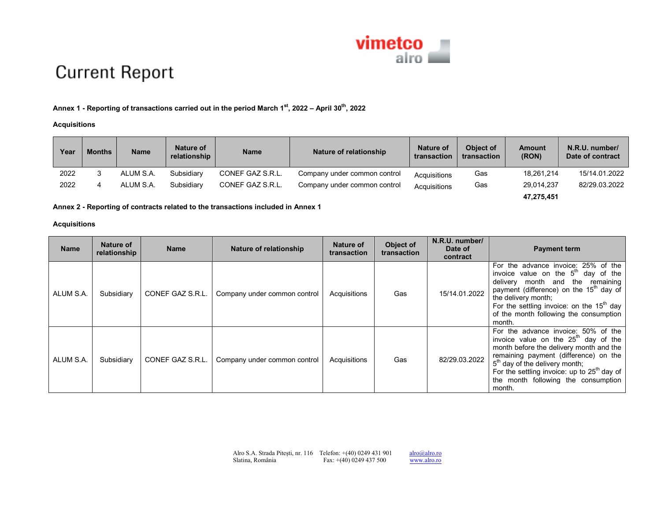

# **Current Report**

# **Annex 1 - Reporting of transactions carried out in the period March 1st, 2022 – April 30th, <sup>2022</sup>**

# **Acquisitions**

| Year | Months | <b>Name</b> | Nature of<br>relationship | <b>Name</b>      | Nature of relationship       | Nature of<br>transaction | Object of<br>transaction | <b>Amount</b><br>(RON) | N.R.U. number/<br>Date of contract |
|------|--------|-------------|---------------------------|------------------|------------------------------|--------------------------|--------------------------|------------------------|------------------------------------|
| 2022 |        | ALUM S.A.   | Subsidiary                | CONEF GAZ S.R.L. | Company under common control | Acquisitions             | Gas                      | 18.261.214             | 15/14.01.2022                      |
| 2022 | 4      | ALUM S.A.   | Subsidiary                | CONEF GAZ S.R.L. | Company under common control | Acquisitions             | Gas                      | 29,014,237             | 82/29.03.2022                      |
|      |        |             |                           |                  |                              |                          |                          | 47,275,451             |                                    |

# **Annex 2 - Reporting of contracts related to the transactions included in Annex 1**

# **Acquisitions**

| <b>Name</b> | Nature of<br>relationship | <b>Name</b>      | Nature of relationship       | Nature of<br>transaction | Object of<br>transaction | N.R.U. number/<br>Date of<br>contract | <b>Payment term</b>                                                                                                                                                                                                                                                                                                        |
|-------------|---------------------------|------------------|------------------------------|--------------------------|--------------------------|---------------------------------------|----------------------------------------------------------------------------------------------------------------------------------------------------------------------------------------------------------------------------------------------------------------------------------------------------------------------------|
| ALUM S.A.   | Subsidiary                | CONEF GAZ S.R.L. | Company under common control | Acquisitions             | Gas                      | 15/14.01.2022                         | For the advance invoice: 25% of the<br>invoice value on the $5th$ day of the<br>month and the remaining<br>delivery<br>payment (difference) on the 15 <sup>th</sup> day of<br>the delivery month;<br>For the settling invoice: on the $15th$ day<br>of the month following the consumption<br>month.                       |
| ALUM S.A.   | Subsidiary                | CONEF GAZ S.R.L. | Company under common control | Acquisitions             | Gas                      | 82/29.03.2022                         | For the advance invoice: 50% of the<br>invoice value on the $25^{\text{m}}$ day of the<br>month before the delivery month and the<br>remaining payment (difference) on the<br>5 <sup>th</sup> day of the delivery month;<br>For the settling invoice: up to $25th$ day of<br>the month following the consumption<br>month. |